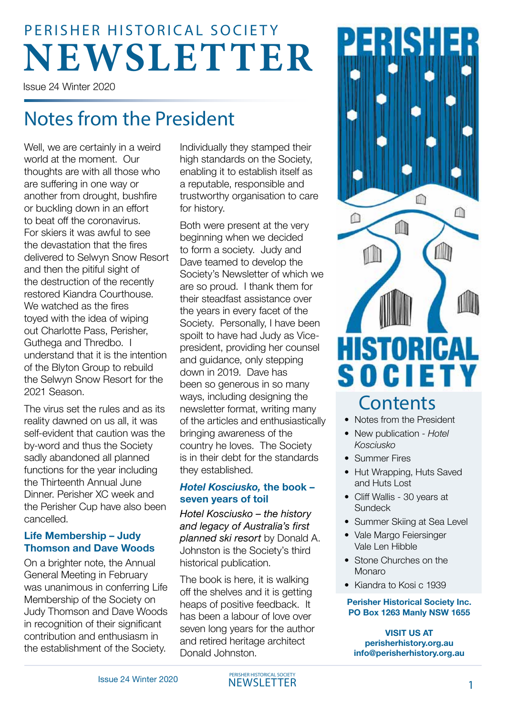# **NEWSLETTER** PERISHER HISTORICAL SOCIETY

Issue 24 Winter 2020

# Notes from the President

Well, we are certainly in a weird world at the moment. Our thoughts are with all those who are suffering in one way or another from drought, bushfire or buckling down in an effort to beat off the coronavirus. For skiers it was awful to see the devastation that the fires delivered to Selwyn Snow Resort and then the pitiful sight of the destruction of the recently restored Kiandra Courthouse. We watched as the fires toyed with the idea of wiping out Charlotte Pass, Perisher, Guthega and Thredbo. I understand that it is the intention of the Blyton Group to rebuild the Selwyn Snow Resort for the 2021 Season.

The virus set the rules and as its reality dawned on us all, it was self-evident that caution was the by-word and thus the Society sadly abandoned all planned functions for the year including the Thirteenth Annual June Dinner. Perisher XC week and the Perisher Cup have also been cancelled.

#### **Life Membership – Judy Thomson and Dave Woods**

On a brighter note, the Annual General Meeting in February was unanimous in conferring Life Membership of the Society on Judy Thomson and Dave Woods in recognition of their significant contribution and enthusiasm in the establishment of the Society.

Individually they stamped their high standards on the Society, enabling it to establish itself as a reputable, responsible and trustworthy organisation to care for history.

Both were present at the very beginning when we decided to form a society. Judy and Dave teamed to develop the Society's Newsletter of which we are so proud. I thank them for their steadfast assistance over the years in every facet of the Society. Personally, I have been spoilt to have had Judy as Vicepresident, providing her counsel and guidance, only stepping down in 2019. Dave has been so generous in so many ways, including designing the newsletter format, writing many of the articles and enthusiastically bringing awareness of the country he loves. The Society is in their debt for the standards they established.

### *Hotel Kosciusko,* **the book – seven years of toil**

*Hotel Kosciusko – the history and legacy of Australia's first planned ski resort* by Donald A. Johnston is the Society's third historical publication.

The book is here, it is walking off the shelves and it is getting heaps of positive feedback. It has been a labour of love over seven long years for the author and retired heritage architect Donald Johnston.



### **Contents**

- Notes from the President
- New publication - *Hotel Kosciusko*
- Summer Fires
- Hut Wrapping, Huts Saved and Huts Lost
- Cliff Wallis 30 years at Sundeck
- Summer Skiing at Sea Level
- Vale Margo Feiersinger Vale Len Hibble
- Stone Churches on the Monaro
- Kiandra to Kosi c 1939

#### **Perisher Historical Society Inc. PO Box 1263 Manly NSW 1655**

**VISIT US AT [perisherhistory.org.au](http://perisherhistory.org.au) [info@perisherhistory.org.au](mailto:info%40perisherhistory.org.au?subject=)**

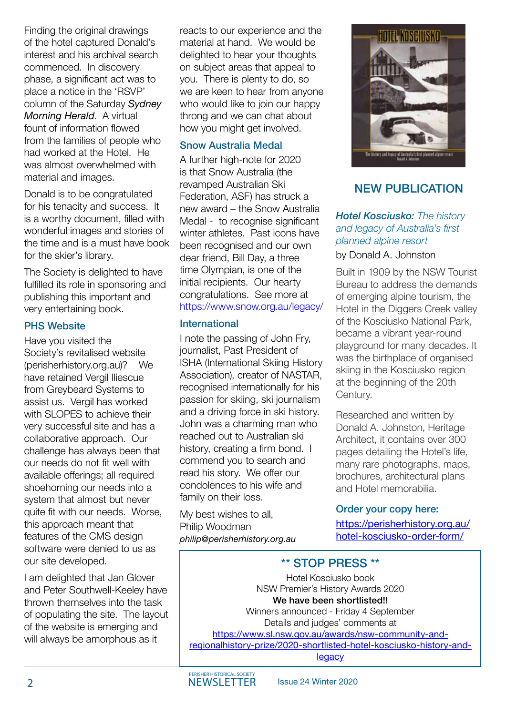Finding the original drawings of the hotel captured Donald's interest and his archival search commenced. In discovery phase, a significant act was to place a notice in the 'RSVP' column of the Saturday *Sydney Morning Herald*. A virtual fount of information flowed from the families of people who had worked at the Hotel. He was almost overwhelmed with material and images.

Donald is to be congratulated for his tenacity and success. It is a worthy document, filled with wonderful images and stories of the time and is a must have book for the skier's library.

The Society is delighted to have fulfilled its role in sponsoring and publishing this important and very entertaining book.

#### **PHS Website**

Have you visited the Society's revitalised website (perisherhistory.org.au)? We have retained Vergil Iliescue from Greybeard Systems to assist us. Vergil has worked with SLOPES to achieve their very successful site and has a collaborative approach. Our challenge has always been that our needs do not fit well with available offerings; all required shoehorning our needs into a system that almost but never quite fit with our needs. Worse, this approach meant that features of the CMS design software were denied to us as our site developed.

I am delighted that Jan Glover and Peter Southwell-Keeley have thrown themselves into the task of populating the site. The layout of the website is emerging and will always be amorphous as it

reacts to our experience and the material at hand. We would be delighted to hear your thoughts on subject areas that appeal to you. There is plenty to do, so we are keen to hear from anyone who would like to join our happy throng and we can chat about how you might get involved.

### Snow Australia Medal

A further high-note for 2020 is that Snow Australia (the revamped Australian Ski Federation, ASF) has struck a new award – the Snow Australia Medal - to recognise significant winter athletes. Past icons have been recognised and our own dear friend, Bill Day, a three time Olympian, is one of the initial recipients. Our hearty congratulations. See more at <https://www.snow.org.au/legacy/>

#### International

I note the passing of John Fry, journalist, Past President of ISHA (International Skiing History Association), creator of NASTAR, recognised internationally for his passion for skiing, ski journalism and a driving force in ski history. John was a charming man who reached out to Australian ski history, creating a firm bond. I commend you to search and read his story. We offer our condolences to his wife and family on their loss.

My best wishes to all, Philip Woodman *philip@perisherhistory.org.au*



### NEW PUBLICATION

*Hotel Kosciusko: The history and legacy of Australia's first planned alpine resort*

by Donald A. Johnston

Built in 1909 by the NSW Tourist Bureau to address the demands of emerging alpine tourism, the Hotel in the Diggers Creek valley of the Kosciusko National Park, became a vibrant year-round playground for many decades. It was the birthplace of organised skiing in the Kosciusko region at the beginning of the 20th Century.

Researched and written by Donald A. Johnston, Heritage Architect, it contains over 300 pages detailing the Hotel's life, many rare photographs, maps, brochures, architectural plans and Hotel memorabilia.

### Order your copy here:

[https://perisherhistory.org.au/](https://perisherhistory.org.au/hotel-kosciusko-order-form/) [hotel-kosciusko-order-form/](https://perisherhistory.org.au/hotel-kosciusko-order-form/)

### \*\* STOP PRESS \*\*

Hotel Kosciusko book NSW Premier's History Awards 2020 We have been shortlisted!! Winners announced - Friday 4 September Details and judges' comments at [https://www.sl.nsw.gov.au/awards/nsw-community-and](https://www.sl.nsw.gov.au/awards/nsw-community-and-regionalhistory- prize/2020-shortlisted-hotel-kosciusko-history-and-legacy)[regionalhistory-prize/2020-shortlisted-hotel-kosciusko-history-and](https://www.sl.nsw.gov.au/awards/nsw-community-and-regionalhistory- prize/2020-shortlisted-hotel-kosciusko-history-and-legacy)[legacy](https://www.sl.nsw.gov.au/awards/nsw-community-and-regionalhistory- prize/2020-shortlisted-hotel-kosciusko-history-and-legacy)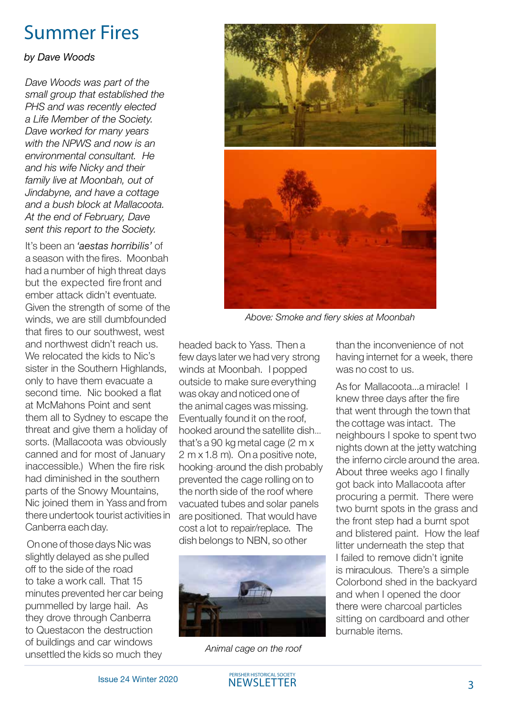### Summer Fires

#### *by Dave Woods*

*Dave Woods was part of the small group that established the PHS and was recently elected a Life Member of the Society. Dave worked for many years with the NPWS and now is an environmental consultant. He and his wife Nicky and their family live at Moonbah, out of Jindabyne, and have a cottage and a bush block at Mallacoota. At the end of February, Dave sent this report to the Society.*

It's been an *'aestas horribilis'* of a season with the fires. Moonbah had a number of high threat days but the expected fire front and ember attack didn't eventuate. Given the strength of some of the winds, we are still dumbfounded that fires to our southwest, west and northwest didn't reach us. We relocated the kids to Nic's sister in the Southern Highlands. only to have them evacuate a second time. Nic booked a flat at McMahons Point and sent them all to Sydney to escape the threat and give them a holiday of sorts. (Mallacoota was obviously canned and for most of January inaccessible.) When the fire risk had diminished in the southern parts of the Snowy Mountains, Nic joined them in Yass and from there undertook tourist activities in Canberra each day.

 On one of those days Nic was slightly delayed as she pulled off to the side of the road to take a work call. That 15 minutes prevented her car being pummelled by large hail. As they drove through Canberra to Questacon the destruction of buildings and car windows unsettled the kids so much they



*Above: Smoke and fiery skies at Moonbah*

headed back to Yass. Then a few days later we had very strong winds at Moonbah. I popped outside to make sure everything was okay and noticed one of the animal cages was missing. Eventually found it on the roof, hooked around the satellite dish... that's a 90 kg metal cage (2 m x 2 m x 1.8 m). On a positive note, hooking-around the dish probably prevented the cage rolling on to the north side of the roof where vacuated tubes and solar panels are positioned. That would have cost a lot to repair/replace. The dish belongs to NBN, so other



*Animal cage on the roof*

than the inconvenience of not having internet for a week, there was no cost to us.

As for Mallacoota...a miracle! I knew three days after the fire that went through the town that the cottage was intact. The neighbours I spoke to spent two nights down at the jetty watching the inferno circle around the area. About three weeks ago I finally got back into Mallacoota after procuring a permit. There were two burnt spots in the grass and the front step had a burnt spot and blistered paint. How the leaf litter underneath the step that I failed to remove didn't janite is miraculous. There's a simple Colorbond shed in the backyard and when I opened the door there were charcoal particles sitting on cardboard and other burnable items.

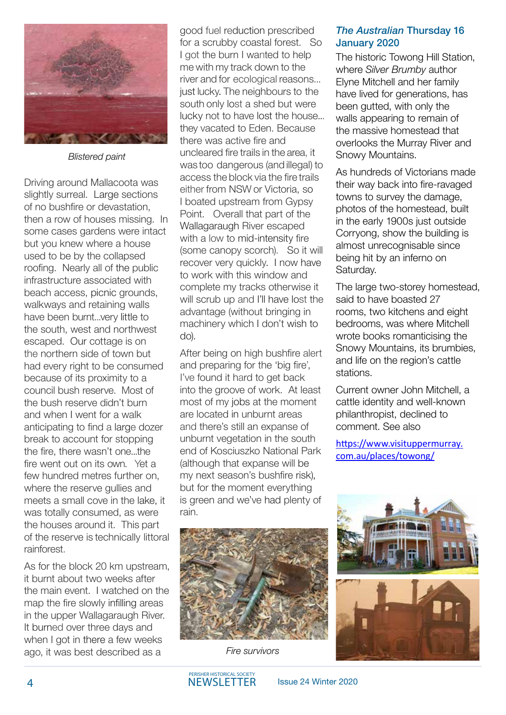

*Blistered paint*

Driving around Mallacoota was slightly surreal. Large sections of no bushfire or devastation, then a row of houses missing. In some cases gardens were intact but you knew where a house used to be by the collapsed roofing. Nearly all of the public infrastructure associated with beach access, picnic grounds, walkways and retaining walls have been burnt...very little to the south, west and northwest escaped. Our cottage is on the northern side of town but had every right to be consumed because of its proximity to a council bush reserve. Most of the bush reserve didn't burn and when I went for a walk anticipating to find a large dozer break to account for stopping the fire, there wasn't one...the fire went out on its own. Yet a few hundred metres further on, where the reserve gullies and meets a small cove in the lake, it was totally consumed, as were the houses around it. This part of the reserve is technically littoral rainforest.

As for the block 20 km upstream, it burnt about two weeks after the main event. I watched on the map the fire slowly infilling areas in the upper Wallagaraugh River. It burned over three days and when I got in there a few weeks ago, it was best described as a *Fire survivors*

good fuel reduction prescribed for a scrubby coastal forest. So I got the burn I wanted to help me with my track down to the river and for ecological reasons... just lucky. The neighbours to the south only lost a shed but were lucky not to have lost the house... they vacated to Eden. Because there was active fire and uncleared fire trails in the area, it was too dangerous (and illegal) to access the block via the fire trails either from NSW or Victoria, so I boated upstream from Gypsy Point. Overall that part of the Wallagaraugh River escaped with a low to mid-intensity fire (some canopy scorch). So it will recover very quickly. I now have to work with this window and complete my tracks otherwise it will scrub up and I'll have lost the advantage (without bringing in machinery which I don't wish to do).

After being on high bushfire alert and preparing for the 'big fire', I've found it hard to get back into the groove of work. At least most of my jobs at the moment are located in unburnt areas and there's still an expanse of unburnt vegetation in the south end of Kosciuszko National Park (although that expanse will be my next season's bushfire risk), but for the moment everything is green and we've had plenty of rain.



#### *The Australian* Thursday 16 January 2020

The historic Towong Hill Station, where *Silver Brumby* author Elyne Mitchell and her family have lived for generations, has been gutted, with only the walls appearing to remain of the massive homestead that overlooks the Murray River and Snowy Mountains.

As hundreds of Victorians made their way back into fire-ravaged towns to survey the damage, photos of the homestead, built in the early 1900s just outside Corryong, show the building is almost unrecognisable since being hit by an inferno on Saturday.

The large two-storey homestead, said to have boasted 27 rooms, two kitchens and eight bedrooms, was where Mitchell wrote books romanticising the Snowy Mountains, its brumbies, and life on the region's cattle stations.

Current owner John Mitchell, a cattle identity and well-known philanthropist, declined to comment. See also

[https://www.visituppermurray.](https://www.visituppermurray.com.au/places/towong/) [com.au/places/towong/](https://www.visituppermurray.com.au/places/towong/)

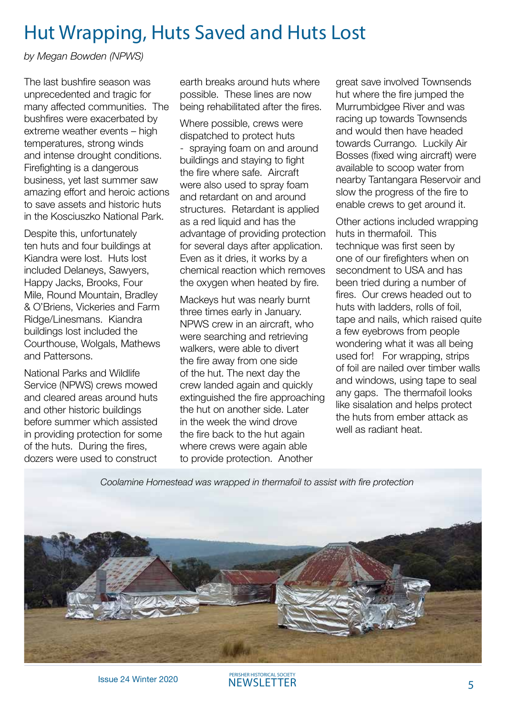### Hut Wrapping, Huts Saved and Huts Lost

*by Megan Bowden (NPWS)*

The last bushfire season was unprecedented and tragic for many affected communities. The bushfires were exacerbated by extreme weather events – high temperatures, strong winds and intense drought conditions. Firefighting is a dangerous business, yet last summer saw amazing effort and heroic actions to save assets and historic huts in the Kosciuszko National Park.

Despite this, unfortunately ten huts and four buildings at Kiandra were lost. Huts lost included Delaneys, Sawyers, Happy Jacks, Brooks, Four Mile, Round Mountain, Bradley & O'Briens, Vickeries and Farm Ridge/Linesmans. Kiandra buildings lost included the Courthouse, Wolgals, Mathews and Pattersons.

National Parks and Wildlife Service (NPWS) crews mowed and cleared areas around huts and other historic buildings before summer which assisted in providing protection for some of the huts. During the fires, dozers were used to construct

earth breaks around huts where possible. These lines are now being rehabilitated after the fires.

Where possible, crews were dispatched to protect huts - spraying foam on and around buildings and staying to fight the fire where safe. Aircraft were also used to spray foam and retardant on and around structures. Retardant is applied as a red liquid and has the advantage of providing protection for several days after application. Even as it dries, it works by a chemical reaction which removes the oxygen when heated by fire.

Mackeys hut was nearly burnt three times early in January. NPWS crew in an aircraft, who were searching and retrieving walkers, were able to divert the fire away from one side of the hut. The next day the crew landed again and quickly extinguished the fire approaching the hut on another side. Later in the week the wind drove the fire back to the hut again where crews were again able to provide protection. Another

great save involved Townsends hut where the fire jumped the Murrumbidgee River and was racing up towards Townsends and would then have headed towards Currango. Luckily Air Bosses (fixed wing aircraft) were available to scoop water from nearby Tantangara Reservoir and slow the progress of the fire to enable crews to get around it.

Other actions included wrapping huts in thermafoil. This technique was first seen by one of our firefighters when on secondment to USA and has been tried during a number of fires. Our crews headed out to huts with ladders, rolls of foil, tape and nails, which raised quite a few eyebrows from people wondering what it was all being used for! For wrapping, strips of foil are nailed over timber walls and windows, using tape to seal any gaps. The thermafoil looks like sisalation and helps protect the huts from ember attack as well as radiant heat.

*Coolamine Homestead was wrapped in thermafoil to assist with fire protection*



**ISSUE 24 Winter 2020** PERISHER HISTORICAL SOCIETY NEWSLETTER 5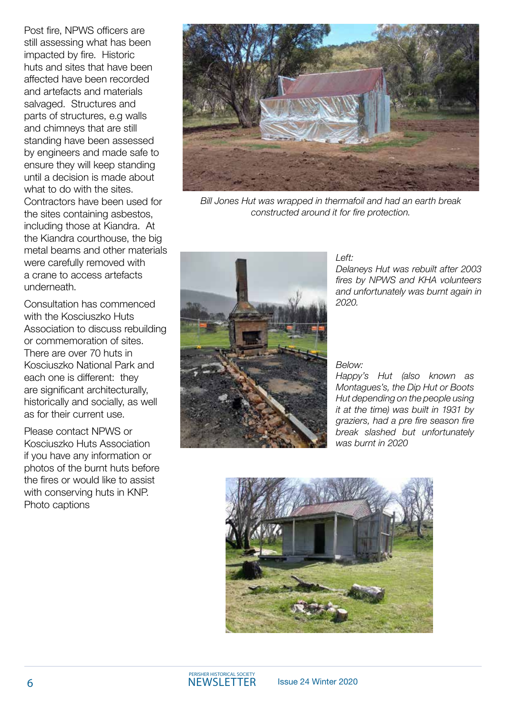Post fire, NPWS officers are still assessing what has been impacted by fire. Historic huts and sites that have been affected have been recorded and artefacts and materials salvaged. Structures and parts of structures, e.g walls and chimneys that are still standing have been assessed by engineers and made safe to ensure they will keep standing until a decision is made about what to do with the sites. Contractors have been used for the sites containing asbestos, including those at Kiandra. At the Kiandra courthouse, the big metal beams and other materials were carefully removed with a crane to access artefacts underneath.

Consultation has commenced with the Kosciuszko Huts Association to discuss rebuilding or commemoration of sites. There are over 70 huts in Kosciuszko National Park and each one is different: they are significant architecturally, historically and socially, as well as for their current use.

Please contact NPWS or Kosciuszko Huts Association if you have any information or photos of the burnt huts before the fires or would like to assist with conserving huts in KNP. Photo captions



*Bill Jones Hut was wrapped in thermafoil and had an earth break constructed around it for fire protection.*



#### *Left:*

*Delaneys Hut was rebuilt after 2003 fires by NPWS and KHA volunteers and unfortunately was burnt again in 2020.*

#### *Below:*

*Happy's Hut (also known as Montagues's, the Dip Hut or Boots Hut depending on the people using it at the time) was built in 1931 by graziers, had a pre fire season fire break slashed but unfortunately was burnt in 2020*

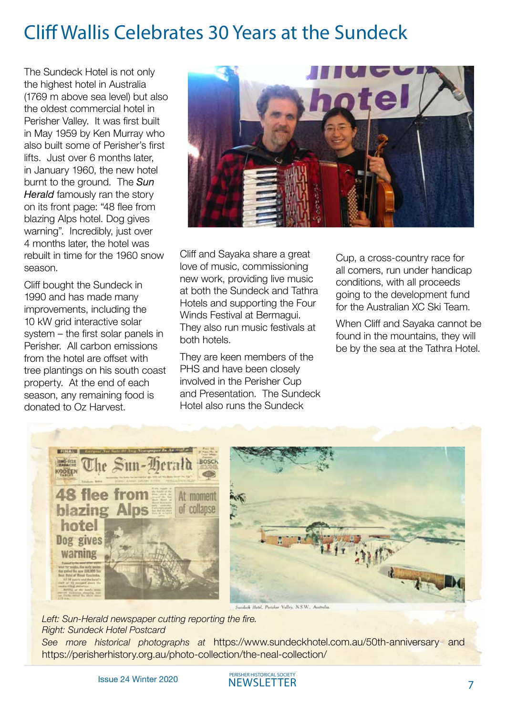# Cliff Wallis Celebrates 30 Years at the Sundeck

The Sundeck Hotel is not only the highest hotel in Australia (1769 m above sea level) but also the oldest commercial hotel in Perisher Valley. It was first built in May 1959 by Ken Murray who also built some of Perisher's first lifts. Just over 6 months later, in January 1960, the new hotel burnt to the ground. The *Sun Herald* famously ran the story on its front page: "48 flee from blazing Alps hotel. Dog gives warning". Incredibly, just over 4 months later, the hotel was rebuilt in time for the 1960 snow season.

Cliff bought the Sundeck in 1990 and has made many improvements, including the 10 kW grid interactive solar system – the first solar panels in Perisher. All carbon emissions from the hotel are offset with tree plantings on his south coast property. At the end of each season, any remaining food is donated to Oz Harvest.



Cliff and Sayaka share a great love of music, commissioning new work, providing live music at both the Sundeck and Tathra Hotels and supporting the Four Winds Festival at Bermagui. They also run music festivals at both hotels.

They are keen members of the PHS and have been closely involved in the Perisher Cup and Presentation. The Sundeck Hotel also runs the Sundeck

Cup, a cross-country race for all comers, run under handicap conditions, with all proceeds going to the development fund for the Australian XC Ski Team.

When Cliff and Sayaka cannot be found in the mountains, they will be by the sea at the Tathra Hotel.



*Left: Sun-Herald newspaper cutting reporting the fire. Right: Sundeck Hotel Postcard See more historical photographs at* https://www.sundeckhotel.com.au/50th-anniversary and https://perisherhistory.org.au/photo-collection/the-neal-collection/

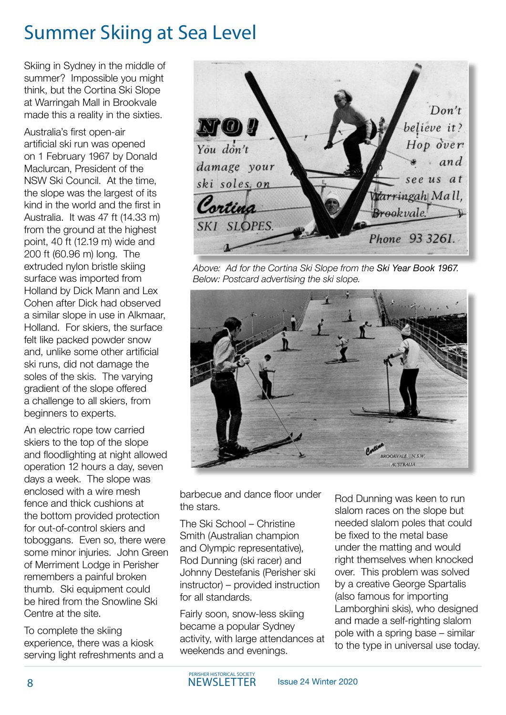# Summer Skiing at Sea Level

Skiing in Sydney in the middle of summer? Impossible you might think, but the Cortina Ski Slope at Warringah Mall in Brookvale made this a reality in the sixties.

Australia's first open-air artificial ski run was opened on 1 February 1967 by Donald Maclurcan, President of the NSW Ski Council. At the time, the slope was the largest of its kind in the world and the first in Australia. It was 47 ft (14.33 m) from the ground at the highest point, 40 ft (12.19 m) wide and 200 ft (60.96 m) long. The extruded nylon bristle skiing surface was imported from Holland by Dick Mann and Lex Cohen after Dick had observed a similar slope in use in Alkmaar, Holland. For skiers, the surface felt like packed powder snow and, unlike some other artificial ski runs, did not damage the soles of the skis. The varying gradient of the slope offered a challenge to all skiers, from beginners to experts.

An electric rope tow carried skiers to the top of the slope and floodlighting at night allowed operation 12 hours a day, seven days a week. The slope was enclosed with a wire mesh fence and thick cushions at the bottom provided protection for out-of-control skiers and toboggans. Even so, there were some minor injuries. John Green of Merriment Lodge in Perisher remembers a painful broken thumb. Ski equipment could be hired from the Snowline Ski Centre at the site.

To complete the skiing experience, there was a kiosk serving light refreshments and a

Don't believe it? no ! Hop over You don't and damage your see us at ski soles. on Warringah Mall, Cortina Brookvale. SKI SLOPES Phone 93 3261.

*Above: Ad for the Cortina Ski Slope from the Ski Year Book 1967. Below: Postcard advertising the ski slope.*



barbecue and dance floor under the stars.

The Ski School – Christine Smith (Australian champion and Olympic representative), Rod Dunning (ski racer) and Johnny Destefanis (Perisher ski instructor) – provided instruction for all standards.

Fairly soon, snow-less skiing became a popular Sydney activity, with large attendances at weekends and evenings.

Rod Dunning was keen to run slalom races on the slope but needed slalom poles that could be fixed to the metal base under the matting and would right themselves when knocked over. This problem was solved by a creative George Spartalis (also famous for importing Lamborghini skis), who designed and made a self-righting slalom pole with a spring base – similar to the type in universal use today.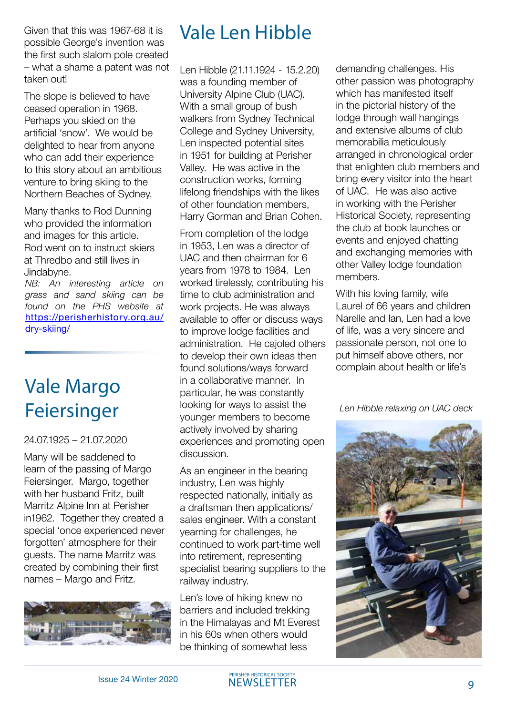Given that this was 1967-68 it is possible George's invention was the first such slalom pole created – what a shame a patent was not taken out!

The slope is believed to have ceased operation in 1968. Perhaps you skied on the artificial 'snow'. We would be delighted to hear from anyone who can add their experience to this story about an ambitious venture to bring skiing to the Northern Beaches of Sydney.

Many thanks to Rod Dunning who provided the information and images for this article. Rod went on to instruct skiers at Thredbo and still lives in Jindabyne.

*NB: An interesting article on grass and sand skiing can be found on the PHS website at*  [https://perisherhistory.org.au/](https://perisherhistory.org.au/dry-skiing/) [dry-skiing/](https://perisherhistory.org.au/dry-skiing/)

# Vale Margo Feiersinger

#### 24.07.1925 – 21.07.2020

Many will be saddened to learn of the passing of Margo Feiersinger. Margo, together with her husband Fritz, built Marritz Alpine Inn at Perisher in1962. Together they created a special 'once experienced never forgotten' atmosphere for their guests. The name Marritz was created by combining their first names – Margo and Fritz.



### Vale Len Hibble

Len Hibble (21.11.1924 - 15.2.20) was a founding member of University Alpine Club (UAC). With a small group of bush walkers from Sydney Technical College and Sydney University, Len inspected potential sites in 1951 for building at Perisher Valley. He was active in the construction works, forming lifelong friendships with the likes of other foundation members, Harry Gorman and Brian Cohen.

From completion of the lodge in 1953, Len was a director of UAC and then chairman for 6 years from 1978 to 1984. Len worked tirelessly, contributing his time to club administration and work projects. He was always available to offer or discuss ways to improve lodge facilities and administration. He cajoled others to develop their own ideas then found solutions/ways forward in a collaborative manner. In particular, he was constantly looking for ways to assist the younger members to become actively involved by sharing experiences and promoting open discussion.

As an engineer in the bearing industry, Len was highly respected nationally, initially as a draftsman then applications/ sales engineer. With a constant yearning for challenges, he continued to work part-time well into retirement, representing specialist bearing suppliers to the railway industry.

Len's love of hiking knew no barriers and included trekking in the Himalayas and Mt Everest in his 60s when others would be thinking of somewhat less

demanding challenges. His other passion was photography which has manifested itself in the pictorial history of the lodge through wall hangings and extensive albums of club memorabilia meticulously arranged in chronological order that enlighten club members and bring every visitor into the heart of UAC. He was also active in working with the Perisher Historical Society, representing the club at book launches or events and enjoyed chatting and exchanging memories with other Valley lodge foundation members.

With his loving family, wife Laurel of 66 years and children Narelle and Ian, Len had a love of life, was a very sincere and passionate person, not one to put himself above others, nor complain about health or life's

*Len Hibble relaxing on UAC deck*



NEWSLETTER GENERAL MERIDIAN RESERVE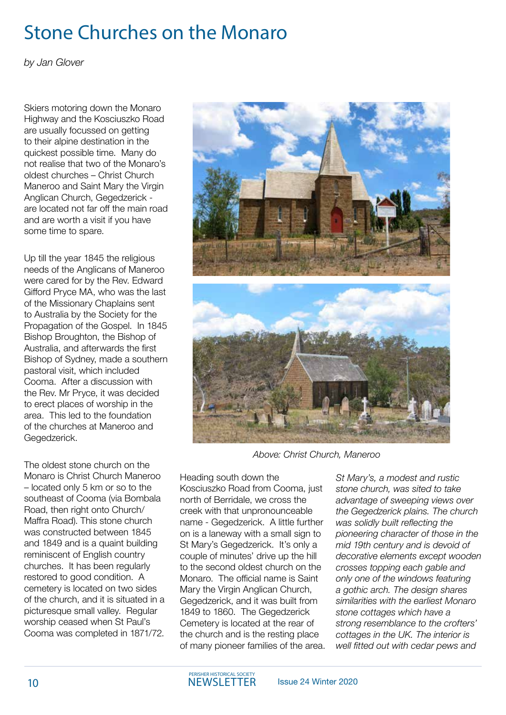# Stone Churches on the Monaro

*by Jan Glover*

Skiers motoring down the Monaro Highway and the Kosciuszko Road are usually focussed on getting to their alpine destination in the quickest possible time. Many do not realise that two of the Monaro's oldest churches – Christ Church Maneroo and Saint Mary the Virgin Anglican Church, Gegedzerick are located not far off the main road and are worth a visit if you have some time to spare.

Up till the year 1845 the religious needs of the Anglicans of Maneroo were cared for by the Rev. Edward Gifford Pryce MA, who was the last of the Missionary Chaplains sent to Australia by the Society for the Propagation of the Gospel. In 1845 Bishop Broughton, the Bishop of Australia, and afterwards the first Bishop of Sydney, made a southern pastoral visit, which included Cooma. After a discussion with the Rev. Mr Pryce, it was decided to erect places of worship in the area. This led to the foundation of the churches at Maneroo and Gegedzerick.

The oldest stone church on the Monaro is Christ Church Maneroo – located only 5 km or so to the southeast of Cooma (via Bombala Road, then right onto Church/ Maffra Road). This stone church was constructed between 1845 and 1849 and is a quaint building reminiscent of English country churches. It has been regularly restored to good condition. A cemetery is located on two sides of the church, and it is situated in a picturesque small valley. Regular worship ceased when St Paul's Cooma was completed in 1871/72.



*Above: Christ Church, Maneroo*

Heading south down the Kosciuszko Road from Cooma, just north of Berridale, we cross the creek with that unpronounceable name - Gegedzerick. A little further on is a laneway with a small sign to St Mary's Gegedzerick. It's only a couple of minutes' drive up the hill to the second oldest church on the Monaro. The official name is Saint Mary the Virgin Anglican Church, Gegedzerick, and it was built from 1849 to 1860. The Gegedzerick Cemetery is located at the rear of the church and is the resting place of many pioneer families of the area. *St Mary's, a modest and rustic stone church, was sited to take advantage of sweeping views over the Gegedzerick plains. The church was solidly built reflecting the pioneering character of those in the mid 19th century and is devoid of decorative elements except wooden crosses topping each gable and only one of the windows featuring a gothic arch. The design shares similarities with the earliest Monaro stone cottages which have a strong resemblance to the crofters' cottages in the UK. The interior is well fitted out with cedar pews and*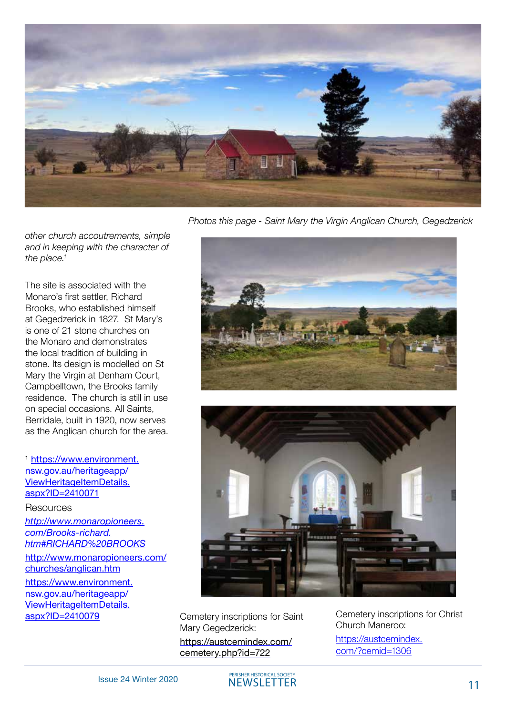

*Photos this page - Saint Mary the Virgin Anglican Church, Gegedzerick*





Cemetery inscriptions for Saint Mary Gegedzerick: [https://austcemindex.com/](https://austcemindex.com/cemetery.php?id=722) [cemetery.php?id=722](https://austcemindex.com/cemetery.php?id=722)

Cemetery inscriptions for Christ Church Maneroo:

[https://austcemindex.](https://austcemindex.com/?cemid=1306) [com/?cemid=1306](https://austcemindex.com/?cemid=1306)

*other church accoutrements, simple and in keeping with the character of the place.1* 

The site is associated with the Monaro's first settler, Richard Brooks, who established himself at Gegedzerick in 1827. St Mary's is one of 21 stone churches on the Monaro and demonstrates the local tradition of building in stone. Its design is modelled on St Mary the Virgin at Denham Court, Campbelltown, the Brooks family residence. The church is still in use on special occasions. All Saints, Berridale, built in 1920, now serves as the Anglican church for the area.

<sup>1</sup> [https://www.environment.](https://www.environment.nsw.gov.au/heritageapp/ViewHeritageItemDetails.aspx?ID=2410071) [nsw.gov.au/heritageapp/](https://www.environment.nsw.gov.au/heritageapp/ViewHeritageItemDetails.aspx?ID=2410071) [ViewHeritageItemDetails.](https://www.environment.nsw.gov.au/heritageapp/ViewHeritageItemDetails.aspx?ID=2410071) [aspx?ID=2410071](https://www.environment.nsw.gov.au/heritageapp/ViewHeritageItemDetails.aspx?ID=2410071)

Resources

*http://www.monaropioneers. com/Brooks-richard. htm#RICHARD%20BROOKS*

[http://www.monaropioneers.com/](http://www.monaropioneers.com/churches/anglican.htm) [churches/anglican.htm](http://www.monaropioneers.com/churches/anglican.htm)

[https://www.environment.](https://www.environment.nsw.gov.au/heritageapp/ViewHeritageItemDetails.aspx?ID=2410079) [nsw.gov.au/heritageapp/](https://www.environment.nsw.gov.au/heritageapp/ViewHeritageItemDetails.aspx?ID=2410079) [ViewHeritageItemDetails.](https://www.environment.nsw.gov.au/heritageapp/ViewHeritageItemDetails.aspx?ID=2410079)<br>aspx?ID=2410079